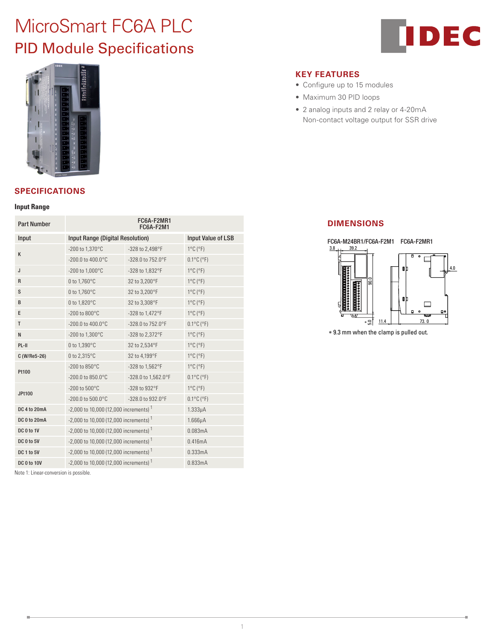# MicroSmart FC6A PLC PID Module Specifications





## **SPECIFICATIONS**

#### **Input Range**

| <b>Part Number</b> | FC6A-F2MR1<br>FC6A-F2M1                             |                     |                                 |  |
|--------------------|-----------------------------------------------------|---------------------|---------------------------------|--|
| Input              | Input Range (Digital Resolution)                    | Input Value of LSB  |                                 |  |
| K                  | -200 to 1,370°C                                     | -328 to 2,498°F     | $1^{\circ}$ C ( $^{\circ}$ F)   |  |
|                    | $-200.0$ to $400.0$ °C                              | -328.0 to 752.0°F   | $0.1^{\circ}$ C ( $^{\circ}$ F) |  |
| J                  | -200 to 1,000°C                                     | -328 to 1,832°F     | $1^{\circ}$ C ( $^{\circ}$ F)   |  |
| R                  | 0 to 1,760°C                                        | 32 to 3,200°F       | $1^{\circ}$ C ( $^{\circ}$ F)   |  |
| S                  | 0 to 1,760°C                                        | 32 to 3,200°F       | $1^{\circ}$ C ( $^{\circ}$ F)   |  |
| B                  | 0 to 1,820°C                                        | 32 to 3,308°F       | $1^{\circ}$ C ( $^{\circ}$ F)   |  |
| E                  | -200 to 800°C                                       | -328 to 1,472°F     | $1^{\circ}$ C ( $^{\circ}$ F)   |  |
| T                  | $-200.0$ to $400.0$ °C                              | -328.0 to 752.0°F   | $0.1^{\circ}$ C ( $^{\circ}$ F) |  |
| N                  | -200 to 1,300°C                                     | -328 to 2,372°F     | $1^{\circ}$ C ( $^{\circ}$ F)   |  |
| PL-II              | 0 to 1.390°C                                        | 32 to 2.534°F       | $1^{\circ}$ C ( $^{\circ}$ F)   |  |
| C (W/Re5-26)       | 0 to 2,315°C                                        | 32 to 4,199°F       | $1^{\circ}$ C ( $^{\circ}$ F)   |  |
| Pt100              | -200 to 850°C                                       | -328 to 1,562°F     | $1^{\circ}$ C ( $^{\circ}$ F)   |  |
|                    | -200.0 to 850.0°C                                   | -328.0 to 1,562.0°F | $0.1^{\circ}$ C ( $^{\circ}$ F) |  |
| <b>JPt100</b>      | -200 to 500°C                                       | -328 to 932°F       | $1^{\circ}$ C ( $^{\circ}$ F)   |  |
|                    | $-200.0$ to 500.0 $^{\circ}$ C                      | -328.0 to 932.0°F   | $0.1^{\circ}$ C ( $^{\circ}$ F) |  |
| DC 4 to 20mA       | $-2,000$ to 10,000 (12,000 increments) <sup>1</sup> |                     | $1.333\mu A$                    |  |
| DC 0 to 20mA       | $-2,000$ to 10,000 (12,000 increments) <sup>1</sup> |                     | $1.666\mu A$                    |  |
| DC 0 to 1V         | $-2,000$ to 10,000 (12,000 increments) <sup>1</sup> |                     | 0.083mA                         |  |
| DC 0 to 5V         | $-2,000$ to 10,000 (12,000 increments) <sup>1</sup> |                     | 0.416mA                         |  |
| DC 1 to 5V         | $-2,000$ to 10,000 (12,000 increments) <sup>1</sup> |                     | 0.333mA                         |  |
| <b>DC 0 to 10V</b> | $-2,000$ to 10,000 (12,000 increments) <sup>1</sup> | 0.833mA             |                                 |  |

Note 1: Linear-conversion is possible.

### **KEY FEATURES**

- Configure up to 15 modules
- Maximum 30 PID loops
- 2 analog inputs and 2 relay or 4-20mA Non-contact voltage output for SSR drive

## **DIMENSIONS**



∗ 9.3 mm when the clamp is pulled out.